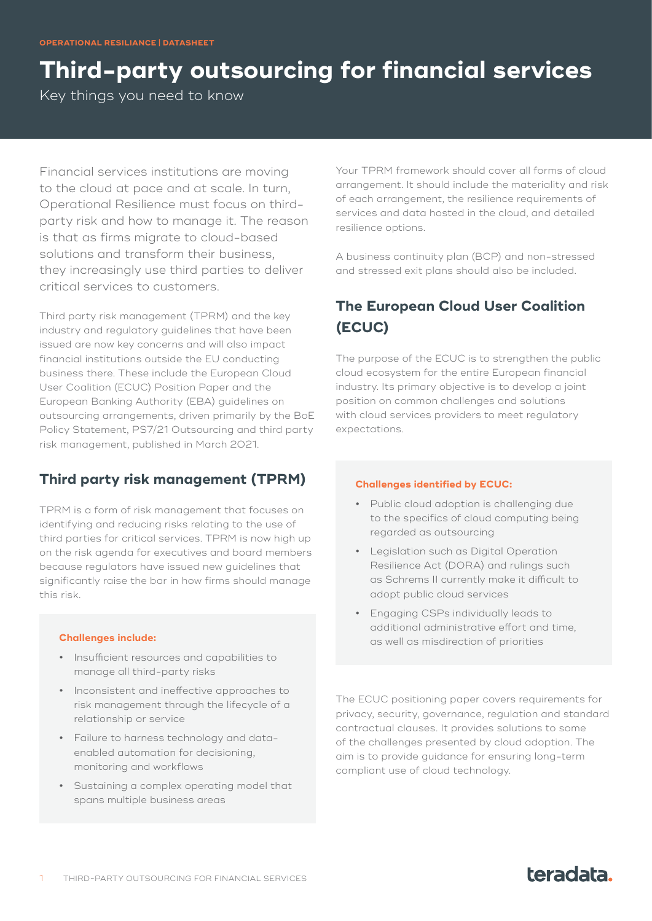# **Third-party outsourcing for financial services**

Key things you need to know

Financial services institutions are moving to the cloud at pace and at scale. In turn, Operational Resilience must focus on thirdparty risk and how to manage it. The reason is that as firms migrate to cloud-based solutions and transform their business, they increasingly use third parties to deliver critical services to customers.

Third party risk management (TPRM) and the key industry and regulatory guidelines that have been issued are now key concerns and will also impact financial institutions outside the EU conducting business there. These include the European Cloud User Coalition (ECUC) Position Paper and the European Banking Authority (EBA) guidelines on outsourcing arrangements, driven primarily by the BoE Policy Statement, PS7/21 Outsourcing and third party risk management, published in March 2021.

## **Third party risk management (TPRM)**

TPRM is a form of risk management that focuses on identifying and reducing risks relating to the use of third parties for critical services. TPRM is now high up on the risk agenda for executives and board members because regulators have issued new guidelines that significantly raise the bar in how firms should manage this risk.

### **Challenges include:**

- **•** Insufficient resources and capabilities to manage all third-party risks
- **•** Inconsistent and ineffective approaches to risk management through the lifecycle of a relationship or service
- **•** Failure to harness technology and dataenabled automation for decisioning, monitoring and workflows
- **•** Sustaining a complex operating model that spans multiple business areas

Your TPRM framework should cover all forms of cloud arrangement. It should include the materiality and risk of each arrangement, the resilience requirements of services and data hosted in the cloud, and detailed resilience options.

A business continuity plan (BCP) and non-stressed and stressed exit plans should also be included.

# **The European Cloud User Coalition (ECUC)**

The purpose of the ECUC is to strengthen the public cloud ecosystem for the entire European financial industry. Its primary objective is to develop a joint position on common challenges and solutions with cloud services providers to meet regulatory expectations.

### **Challenges identified by ECUC:**

- **•** Public cloud adoption is challenging due to the specifics of cloud computing being regarded as outsourcing
- **•** Legislation such as Digital Operation Resilience Act (DORA) and rulings such as Schrems II currently make it difficult to adopt public cloud services
- **•** Engaging CSPs individually leads to additional administrative effort and time, as well as misdirection of priorities

The ECUC positioning paper covers requirements for privacy, security, governance, regulation and standard contractual clauses. It provides solutions to some of the challenges presented by cloud adoption. The aim is to provide guidance for ensuring long-term compliant use of cloud technology.

# teradata.